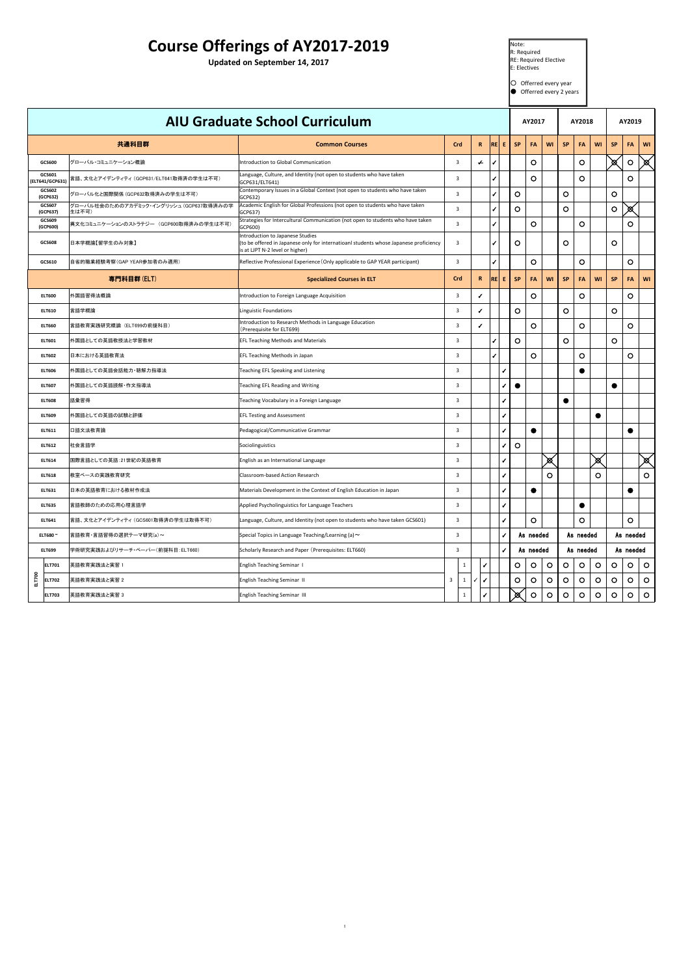| 0<br>ш | <b>ELT702</b> | '英語教育実践法と実習 と | <b>English Teaching Seminar II</b>  |  |  | $\bigcap$<br>$\overline{\phantom{a}}$ | $\overline{O}$ | $\sqrt{ }$<br>$\mathbf{v}$ |                          |  |  |  |
|--------|---------------|---------------|-------------------------------------|--|--|---------------------------------------|----------------|----------------------------|--------------------------|--|--|--|
|        | <b>ELT703</b> | 芅語教育実践法と実習 。  | <b>English Teaching Seminar III</b> |  |  | $\infty$<br><b>XX</b>                 | $\mathbf{U}$   | $\overline{\mathbf{v}}$    | $\overline{\phantom{a}}$ |  |  |  |

 $1<sup>1</sup>$ 

| <b>Course Offerings of AY2017-2019</b><br><b>Updated on September 14, 2017</b> |                                                   |                                                                                                                                                              |                |              |    |        | $\blacksquare$ Note:<br>R: Required<br><b>RE: Required Elective</b><br>$\mathsf{I\!E}\colon$ Electives<br>Offerred every year<br>Offerred every 2 years |                |                |                |                                                |  |  |
|--------------------------------------------------------------------------------|---------------------------------------------------|--------------------------------------------------------------------------------------------------------------------------------------------------------------|----------------|--------------|----|--------|---------------------------------------------------------------------------------------------------------------------------------------------------------|----------------|----------------|----------------|------------------------------------------------|--|--|
|                                                                                |                                                   | <b>AIU Graduate School Curriculum</b>                                                                                                                        |                |              |    |        | AY2017                                                                                                                                                  |                | <b>AY2018</b>  |                | <b>AY2019</b>                                  |  |  |
|                                                                                | 共通科目群                                             | <b>Common Courses</b>                                                                                                                                        | Crd            | R            | RE | -EI    | <b>SP</b><br>FA<br><b>WI</b>                                                                                                                            | <b>SP</b>      | FA             | <b>WI</b>      | FA<br><b>WI</b><br><b>SP</b>                   |  |  |
| <b>GCS600</b>                                                                  | グローバル・コミュニケーション概論                                 | Introduction to Global Communication                                                                                                                         | $\overline{3}$ | $\leftarrow$ |    |        | $\bigcirc$                                                                                                                                              |                | $\bigcirc$     |                | $\bigcirc$<br>$\boxtimes$<br>$\boxtimes$       |  |  |
| GCS601<br>(ELT641/GCP631)                                                      | 、 富語、文化とアイデンティティ (GCP631/ELT641取得済の学生は不可)         | Language, Culture, and Identity (not open to students who have taken<br>GCP631/ELT641)                                                                       |                |              |    |        | $\bigcirc$                                                                                                                                              |                | $\mathbf O$    |                | $\bigcirc$                                     |  |  |
| <b>GCS602</b><br>(GCP632)                                                      | グローバル化と国際関係 (GCP632取得済みの学生は不可)                    | Contemporary Issues in a Global Context (not open to students who have taken<br>GCP632)                                                                      |                |              |    |        | $\bigcirc$                                                                                                                                              | $\bigcirc$     |                |                |                                                |  |  |
| <b>GCS607</b><br>(GCP637)                                                      | グローバル社会のためのアカデミック・イングリッシュ (GCP637取得済みの学<br> 生は不可) | Academic English for Global Professions (not open to students who have taken<br>GCP637)                                                                      |                |              |    |        | $\bigcirc$                                                                                                                                              | $\overline{O}$ |                |                | $\bigcirc$<br>$\chi$                           |  |  |
| GCS609<br>(GCP600)                                                             | 異文化コミュニケーションのストラテジー (GCP600取得済みの学生は不可)            | Strategies for Intercultural Communication (not open to students who have taken<br>GCP600)                                                                   |                |              |    |        | $\bigcirc$                                                                                                                                              |                | $\bigcirc$     |                | $\bigcirc$                                     |  |  |
| <b>GCS608</b>                                                                  | 日本学概論【留学生のみ対象】                                    | Introduction to Japanese Studies<br>(to be offered in Japanese only for internatioanl students whose Japanese proficiency<br>is at LJPT N-2 level or higher) |                |              |    |        | $\bigcirc$                                                                                                                                              | $\bigcirc$     |                |                |                                                |  |  |
| <b>GCS610</b>                                                                  | 自省的職業経験考察(GAP YEAR参加者のみ適用)                        | Reflective Professional Experience (Only applicable to GAP YEAR participant)                                                                                 |                |              |    |        | $\overline{O}$                                                                                                                                          |                | $\bigcirc$     |                | $\bigcirc$                                     |  |  |
|                                                                                | 専門科目群(ELT)                                        | <b>Specialized Courses in ELT</b>                                                                                                                            | Crd            | R            | RE | - E II | <b>SP</b><br><b>FA</b><br><b>WI</b>                                                                                                                     | <b>SP</b>      | <b>FA</b>      | <b>WI</b>      | <b>FA</b><br><b>SP</b><br><b>WI</b>            |  |  |
| <b>ELT600</b>                                                                  | 外国語習得法概論                                          | Introduction to Foreign Language Acquisition                                                                                                                 |                |              |    |        | $\overline{O}$                                                                                                                                          |                | $\overline{O}$ |                | $\bigcirc$                                     |  |  |
| <b>ELT610</b>                                                                  | 言語学概論                                             | <b>Linguistic Foundations</b>                                                                                                                                |                |              |    |        | $\bigcirc$                                                                                                                                              | $\bigcirc$     |                |                | $\bigcirc$                                     |  |  |
| <b>ELT660</b>                                                                  | 言語教育実践研究概論(ELT699の前提科目)                           | Introduction to Research Methods in Language Education<br>(Prerequisite for ELT699)                                                                          |                |              |    |        | $\bigcirc$                                                                                                                                              |                | $\bigcirc$     |                | $\bigcirc$                                     |  |  |
| <b>ELT601</b>                                                                  | 外国語としての英語教授法と学習教材                                 | <b>EFL Teaching Methods and Materials</b>                                                                                                                    |                |              |    |        | $\bigcirc$                                                                                                                                              | $\overline{O}$ |                |                | $\bigcirc$                                     |  |  |
| <b>ELT602</b>                                                                  | 日本における英語教育法                                       | <b>EFL Teaching Methods in Japan</b>                                                                                                                         |                |              |    |        | $\bigcirc$                                                                                                                                              |                | $\bigcirc$     |                | $\bigcirc$                                     |  |  |
| <b>ELT606</b>                                                                  | 外国語としての英語会話能力・聴解力指導法                              | <b>Teaching EFL Speaking and Listening</b>                                                                                                                   | $\beta$        |              |    |        |                                                                                                                                                         |                |                |                |                                                |  |  |
| <b>ELT607</b>                                                                  | 外国語としての英語読解・作文指導法                                 | Teaching EFL Reading and Writing                                                                                                                             |                |              |    |        |                                                                                                                                                         |                |                |                |                                                |  |  |
| <b>ELT608</b>                                                                  | 語彙習得                                              | Teaching Vocabulary in a Foreign Language                                                                                                                    | $\overline{3}$ |              |    |        |                                                                                                                                                         |                |                |                |                                                |  |  |
| <b>ELT609</b>                                                                  | 外国語としての英語の試験と評価                                   | <b>EFL Testing and Assessment</b>                                                                                                                            | $\overline{3}$ |              |    |        |                                                                                                                                                         |                |                |                |                                                |  |  |
| <b>ELT611</b>                                                                  | 口語文法教育論                                           | Pedagogical/Communicative Grammar                                                                                                                            |                |              |    |        |                                                                                                                                                         |                |                |                |                                                |  |  |
| <b>ELT612</b>                                                                  | 社会言語学                                             | Sociolinguistics                                                                                                                                             | $\overline{3}$ |              |    |        |                                                                                                                                                         |                |                |                |                                                |  |  |
| <b>ELT614</b>                                                                  | 国際言語としての英語:21世紀の英語教育                              | English as an International Language                                                                                                                         |                |              |    |        | $\bowtie$                                                                                                                                               |                |                | $\boxtimes$    | $\boxtimes$                                    |  |  |
| <b>ELT618</b>                                                                  | 教室ベースの実践教育研究                                      | Classroom-based Action Research                                                                                                                              | $\overline{3}$ |              |    |        |                                                                                                                                                         |                |                | $\bigcirc$     | $\bigcirc$                                     |  |  |
| <b>ELT631</b>                                                                  | 日本の英語教育における教材作成法                                  | Materials Development in the Context of English Education in Japan                                                                                           | $\overline{3}$ |              |    |        |                                                                                                                                                         |                |                |                |                                                |  |  |
| <b>ELT635</b>                                                                  | 言語教師のための応用心理言語学                                   | Applied Psycholinguistics for Language Teachers                                                                                                              | $\overline{3}$ |              |    |        |                                                                                                                                                         |                |                |                |                                                |  |  |
| <b>ELT641</b>                                                                  | 言語、文化とアイデンティティ (GCS601取得済の学生は取得不可)                | Language, Culture, and Identity (not open to students who have taken GCS601)                                                                                 | $\overline{3}$ |              |    |        | $\bigcirc$                                                                                                                                              |                | $\bigcirc$     |                | $\bigcirc$                                     |  |  |
| ELT680 ~                                                                       | 言語教育・言語習得の選択テーマ研究(a)~                             | Special Topics in Language Teaching/Learning (a) $\sim$                                                                                                      |                |              |    |        | As needed                                                                                                                                               |                | As needed      |                | As needed                                      |  |  |
| <b>ELT699</b>                                                                  | 学術研究実践およびリサーチ・ペーパー(前提科目:ELT660)                   | Scholarly Research and Paper (Prerequisites: ELT660)                                                                                                         | $\overline{3}$ |              |    |        | As needed                                                                                                                                               |                | As needed      |                | As needed                                      |  |  |
| <b>ELT701</b>                                                                  | 英語教育実践法と実習 1                                      | <b>English Teaching Seminar 1</b>                                                                                                                            |                |              |    |        | $\bigcirc$<br>$\bigcirc$                                                                                                                                | $\bigcirc$     | $\bigcirc$     | $\overline{O}$ | $\bigcirc$<br>$\overline{O}$<br>$\overline{O}$ |  |  |
|                                                                                |                                                   |                                                                                                                                                              |                |              |    |        |                                                                                                                                                         |                |                |                |                                                |  |  |